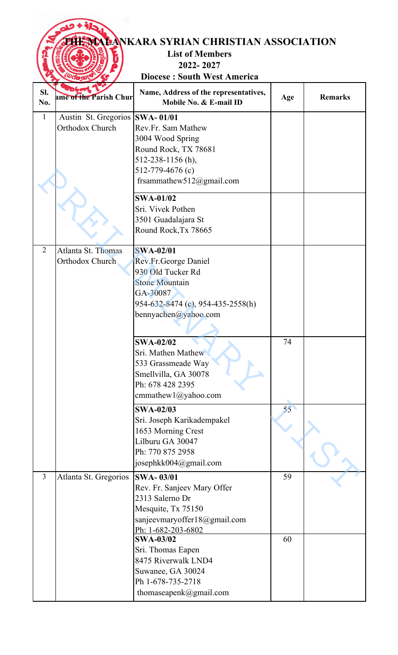|                |                                                          | <b>EVALANKARA SYRIAN CHRISTIAN ASSOCIATION</b><br><b>List of Members</b><br>2022-2027                                                                                                                                               |          |                |
|----------------|----------------------------------------------------------|-------------------------------------------------------------------------------------------------------------------------------------------------------------------------------------------------------------------------------------|----------|----------------|
|                |                                                          | <b>Diocese: South West America</b>                                                                                                                                                                                                  |          |                |
| Sl.<br>No.     | ame of the Parish Chur                                   | Name, Address of the representatives,<br>Mobile No. & E-mail ID                                                                                                                                                                     | Age      | <b>Remarks</b> |
| $\mathbf{1}$   | Austin St. Gregorios SWA-01/01<br><b>Orthodox Church</b> | Rev.Fr. Sam Mathew<br>3004 Wood Spring<br>Round Rock, TX 78681<br>512-238-1156 (h),<br>512-779-4676 (c)<br>frsammathew512@gmail.com                                                                                                 |          |                |
|                |                                                          | <b>SWA-01/02</b><br>Sri. Vivek Pothen<br>3501 Guadalajara St<br>Round Rock, Tx 78665                                                                                                                                                |          |                |
| 2              | Atlanta St. Thomas<br>Orthodox Church                    | <b>SWA-02/01</b><br>Rev.Fr.George Daniel<br>930 Old Tucker Rd<br><b>Stone Mountain</b><br>GA-30087<br>954-632-8474 (c), 954-435-2558(h)<br>bennyachen@yahoo.com                                                                     |          |                |
|                |                                                          | <b>SWA-02/02</b><br>Sri. Mathen Mathew<br>533 Grassmeade Way<br>Smellvilla, GA 30078<br>Ph: 678 428 2395<br>cmmathew1@yahoo.com                                                                                                     | 74       |                |
|                |                                                          | <b>SWA-02/03</b><br>Sri. Joseph Karikadempakel<br>1653 Morning Crest<br>Lilburu GA 30047<br>Ph: 770 875 2958<br>josephkk004@gmail.com                                                                                               | 55       |                |
| $\mathfrak{Z}$ | Atlanta St. Gregorios                                    | <b>SWA-03/01</b><br>Rev. Fr. Sanjeev Mary Offer<br>2313 Salerno Dr<br>Mesquite, Tx 75150<br>sanjeevmaryoffer18@gmail.com<br>Ph: 1-682-203-6802<br><b>SWA-03/02</b><br>Sri. Thomas Eapen<br>8475 Riverwalk LND4<br>Suwanee, GA 30024 | 59<br>60 |                |
|                |                                                          | Ph 1-678-735-2718<br>thomaseapenk@gmail.com                                                                                                                                                                                         |          |                |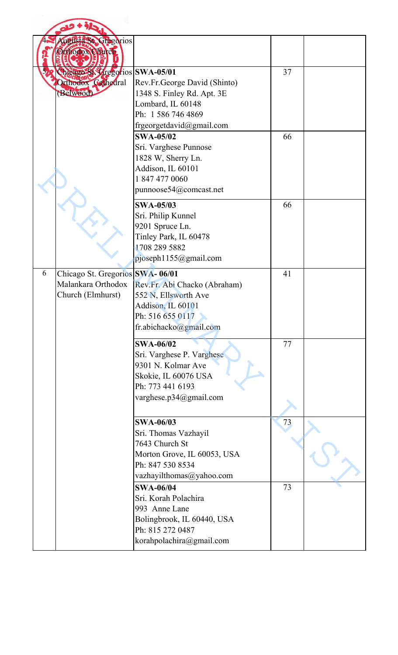|   | ugusta St. Gregorios<br>Orthodox Clurch                                    |                                                                                                                                           |    |  |
|---|----------------------------------------------------------------------------|-------------------------------------------------------------------------------------------------------------------------------------------|----|--|
|   | Chicago St Vregorios SWA-05/01<br>Orthodox Cathedral<br>(Belwood)          | Rev.Fr.George David (Shinto)<br>1348 S. Finley Rd. Apt. 3E<br>Lombard, IL 60148<br>Ph: 1 586 746 4869<br>frgeorgetdavid@gmail.com         | 37 |  |
|   |                                                                            | <b>SWA-05/02</b><br>Sri. Varghese Punnose<br>1828 W, Sherry Ln.<br>Addison, IL 60101<br>1 847 477 0060<br>punnoose54@comcast.net          | 66 |  |
|   |                                                                            | <b>SWA-05/03</b><br>Sri. Philip Kunnel<br>9201 Spruce Ln.<br>Tinley Park, IL 60478<br>1708 289 5882<br>pjoseph1155@gmail.com              | 66 |  |
| 6 | Chicago St. Gregorios SWA-06/01<br>Malankara Orthodox<br>Church (Elmhurst) | Rev.Fr. Abi Chacko (Abraham)<br>552 N, Ellsworth Ave<br>Addison, IL 60101<br>Ph: 516 655 0117<br>fr.abichacko@gmail.com                   | 41 |  |
|   |                                                                            | <b>SWA-06/02</b><br>Sri. Varghese P. Varghese<br>9301 N. Kolmar Ave<br>Skokie, IL 60076 USA<br>Ph: 773 441 6193<br>varghese.p34@gmail.com | 77 |  |
|   |                                                                            | <b>SWA-06/03</b><br>Sri. Thomas Vazhayil<br>7643 Church St<br>Morton Grove, IL 60053, USA<br>Ph: 847 530 8534<br>vazhayilthomas@yahoo.com | 73 |  |
|   |                                                                            | <b>SWA-06/04</b><br>Sri. Korah Polachira<br>993 Anne Lane<br>Bolingbrook, IL 60440, USA<br>Ph: 815 272 0487<br>korahpolachira@gmail.com   | 73 |  |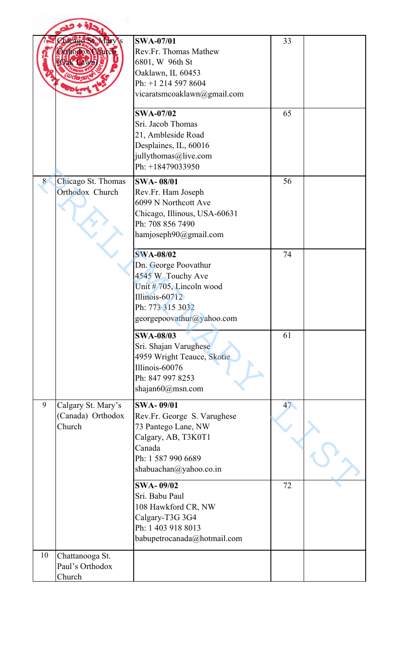|    | hicago St. Mary's<br>thodox Chirch<br><b>Vak Lawn</b> | <b>SWA-07/01</b><br>Rev.Fr. Thomas Mathew<br>6801, W 96th St<br>Oaklawn, IL 60453<br>Ph: +1 214 597 8604<br>vicaratsmcoaklawn@gmail.com                         | 33 |  |
|----|-------------------------------------------------------|-----------------------------------------------------------------------------------------------------------------------------------------------------------------|----|--|
|    |                                                       | <b>SWA-07/02</b><br>Sri. Jacob Thomas<br>21, Ambleside Road<br>Desplaines, IL, 60016<br>jullythomas@live.com<br>Ph: +18479033950                                | 65 |  |
| 8  | Chicago St. Thomas<br>Orthodox Church                 | <b>SWA-08/01</b><br>Rev.Fr. Ham Joseph<br>6099 N Northcott Ave<br>Chicago, Illinous, USA-60631<br>Ph: 708 856 7490<br>hamjoseph90@gmail.com                     | 56 |  |
|    |                                                       | <b>SWA-08/02</b><br>Dn. George Poovathur<br>4545 W Touchy Ave<br>Unit # $705$ , Lincoln wood<br>Illinois-60712<br>Ph: 773 315 3032<br>georgepoovathur@yahoo.com | 74 |  |
|    |                                                       | <b>SWA-08/03</b><br>Sri. Shajan Varughese<br>4959 Wright Teauce, Skotie<br>Illinois-60076<br>Ph: 847 997 8253<br>shajan $60$ @msn.com                           | 61 |  |
| 9  | Calgary St. Mary's<br>(Canada) Orthodox<br>Church     | <b>SWA-09/01</b><br>Rev.Fr. George S. Varughese<br>73 Pantego Lane, NW<br>Calgary, AB, T3K0T1<br>Canada<br>Ph: 1 587 990 6689<br>shabuachan@yahoo.co.in         | 47 |  |
|    |                                                       | <b>SWA-09/02</b><br>Sri. Babu Paul<br>108 Hawkford CR, NW<br>Calgary-T3G 3G4<br>Ph: 1 403 918 8013<br>babupetrocanada@hotmail.com                               | 72 |  |
| 10 | Chattanooga St.<br>Paul's Orthodox<br>Church          |                                                                                                                                                                 |    |  |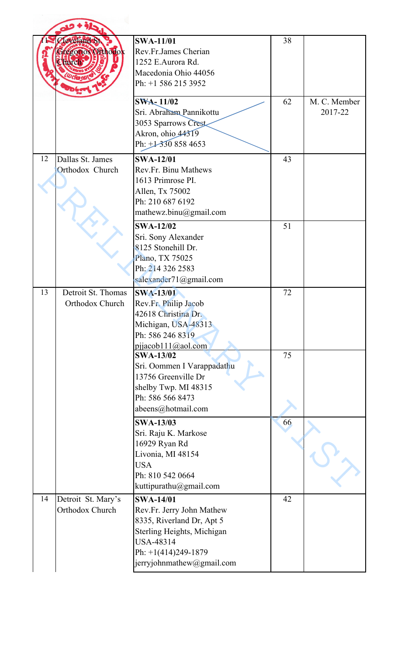|    | <b>ZlevelandeSt</b><br>regorios Orthodox<br>turch | <b>SWA-11/01</b><br>Rev.Fr.James Cherian<br>1252 E.Aurora Rd.<br>Macedonia Ohio 44056<br>Ph: +1 586 215 3952                                                                       | 38 |                         |
|----|---------------------------------------------------|------------------------------------------------------------------------------------------------------------------------------------------------------------------------------------|----|-------------------------|
|    |                                                   | <b>SWA-11/02</b><br>Sri. Abraham Pannikottu<br>3053 Sparrows Crest<br>Akron, ohio 44319<br>Ph: $\pm 3308584653$                                                                    | 62 | M. C. Member<br>2017-22 |
| 12 | Dallas St. James<br>Orthodox Church               | <b>SWA-12/01</b><br>Rev.Fr. Binu Mathews<br>1613 Primrose PI.<br>Allen, Tx 75002<br>Ph: 210 687 6192<br>mathewz.binu@gmail.com                                                     | 43 |                         |
|    |                                                   | <b>SWA-12/02</b><br>Sri. Sony Alexander<br>8125 Stonehill Dr.<br>Plano, TX 75025<br>Ph: 214 326 2583<br>salexander71@gmail.com                                                     | 51 |                         |
| 13 | Detroit St. Thomas<br>Orthodox Church             | <b>SWA-13/01</b><br>Rev.Fr. Philip Jacob<br>42618 Christina Dr.<br>Michigan, USA-48313<br>Ph: 586 246 8319<br>pijacob111@aol.com                                                   | 72 |                         |
|    |                                                   | <b>SWA-13/02</b><br>Sri. Oommen I Varappadathu<br>13756 Greenville Dr<br>shelby Twp. MI 48315<br>Ph: 586 566 8473<br>abeens@hotmail.com                                            | 75 |                         |
|    |                                                   | <b>SWA-13/03</b><br>Sri. Raju K. Markose<br>16929 Ryan Rd<br>Livonia, MI 48154<br><b>USA</b><br>Ph: 810 542 0664<br>kuttipurathu@gmail.com                                         | 66 |                         |
| 14 | Detroit St. Mary's<br>Orthodox Church             | <b>SWA-14/01</b><br>Rev.Fr. Jerry John Mathew<br>8335, Riverland Dr, Apt 5<br>Sterling Heights, Michigan<br><b>USA-48314</b><br>Ph: $+1(414)249-1879$<br>jerryjohnmathew@gmail.com | 42 |                         |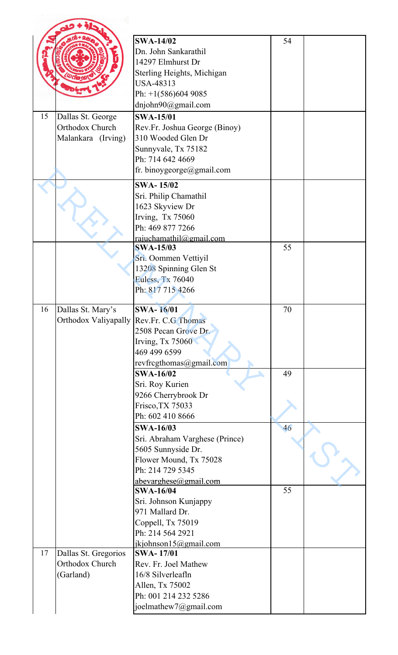| 15 | Dallas St. George                                    | <b>SWA-14/02</b><br>Dn. John Sankarathil<br>14297 Elmhurst Dr<br>Sterling Heights, Michigan<br><b>USA-48313</b><br>Ph: $+1(586)6049085$<br>dnjohn90@gmail.com<br><b>SWA-15/01</b> | 54 |  |
|----|------------------------------------------------------|-----------------------------------------------------------------------------------------------------------------------------------------------------------------------------------|----|--|
|    | Orthodox Church<br>Malankara (Irving)                | Rev.Fr. Joshua George (Binoy)<br>310 Wooded Glen Dr<br>Sunnyvale, Tx 75182<br>Ph: 714 642 4669<br>fr. binoygeorge@gmail.com                                                       |    |  |
|    |                                                      | <b>SWA-15/02</b><br>Sri. Philip Chamathil<br>1623 Skyview Dr<br>Irving, Tx 75060<br>Ph: 469 877 7266<br>rajuchamathil@gmail.com<br><b>SWA-15/03</b>                               | 55 |  |
|    |                                                      | Sri. Oommen Vettiyil<br>13208 Spinning Glen St<br><b>Euless, Tx 76040</b><br>Ph: 817 715 4266                                                                                     |    |  |
| 16 | Dallas St. Mary's<br>Orthodox Valiyapally            | <b>SWA-16/01</b><br>Rev.Fr. C.G Thomas<br>2508 Pecan Grove Dr.<br>Irving, Tx 75060<br>469 499 6599<br>revfrcgthomas@gmail.com                                                     | 70 |  |
|    |                                                      | <b>SWA-16/02</b><br>Sri. Roy Kurien<br>9266 Cherrybrook Dr<br>Frisco, TX 75033<br>Ph: 602 410 8666                                                                                | 49 |  |
|    |                                                      | <b>SWA-16/03</b><br>Sri. Abraham Varghese (Prince)<br>5605 Sunnyside Dr.<br>Flower Mound, Tx 75028<br>Ph: 214 729 5345<br>abevarghese@gmail.com                                   | 46 |  |
|    |                                                      | <b>SWA-16/04</b><br>Sri. Johnson Kunjappy<br>971 Mallard Dr.<br>Coppell, Tx 75019<br>Ph: 214 564 2921<br>jkjohnson15@gmail.com                                                    | 55 |  |
| 17 | Dallas St. Gregorios<br>Orthodox Church<br>(Garland) | <b>SWA-17/01</b><br>Rev. Fr. Joel Mathew<br>16/8 Silverleafln<br>Allen, Tx 75002<br>Ph: 001 214 232 5286<br>joelmathew7@gmail.com                                                 |    |  |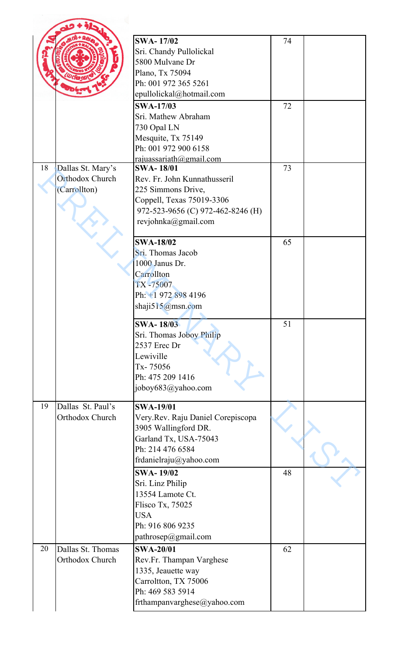|    |                                                      | <b>SWA-17/02</b><br>Sri. Chandy Pullolickal<br>5800 Mulvane Dr<br>Plano, Tx 75094<br>Ph: 001 972 365 5261<br>epullolickal@hotmail.com                           | 74 |  |
|----|------------------------------------------------------|-----------------------------------------------------------------------------------------------------------------------------------------------------------------|----|--|
|    |                                                      | <b>SWA-17/03</b><br>Sri. Mathew Abraham<br>730 Opal LN<br>Mesquite, Tx 75149<br>Ph: 001 972 900 6158<br>rajuassariath@gmail.com                                 | 72 |  |
| 18 | Dallas St. Mary's<br>Orthodox Church<br>(Carrollton) | <b>SWA-18/01</b><br>Rev. Fr. John Kunnathusseril<br>225 Simmons Drive,<br>Coppell, Texas 75019-3306<br>972-523-9656 (C) 972-462-8246 (H)<br>revjohnka@gmail.com | 73 |  |
|    |                                                      | <b>SWA-18/02</b><br>Sri. Thomas Jacob<br>1000 Janus Dr.<br>Carrollton<br>TX-75007<br>Ph: +1 972 898 4196<br>shaji515@msn.com                                    | 65 |  |
|    |                                                      | <b>SWA-18/03</b><br>Sri. Thomas Joboy Philip<br>2537 Erec Dr<br>Lewiville<br>Tx-75056<br>Ph: 475 209 1416<br>joboy683@yahoo.com                                 | 51 |  |
| 19 | Dallas St. Paul's<br>Orthodox Church                 | <b>SWA-19/01</b><br>Very.Rev. Raju Daniel Corepiscopa<br>3905 Wallingford DR.<br>Garland Tx, USA-75043<br>Ph: 214 476 6584<br>frdanielraju@yahoo.com            |    |  |
|    |                                                      | <b>SWA-19/02</b><br>Sri. Linz Philip<br>13554 Lamote Ct.<br>Flisco Tx, 75025<br><b>USA</b><br>Ph: 916 806 9235<br>pathrosep@gmail.com                           | 48 |  |
| 20 | Dallas St. Thomas<br>Orthodox Church                 | <b>SWA-20/01</b><br>Rev.Fr. Thampan Varghese<br>1335, Jeauette way<br>Carroltton, TX 75006<br>Ph: 469 583 5914<br>frthampanvarghese@yahoo.com                   | 62 |  |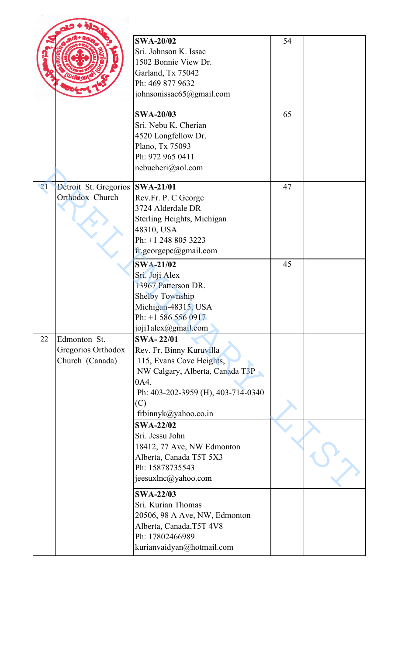|    |                                                       | <b>SWA-20/02</b><br>Sri. Johnson K. Issac<br>1502 Bonnie View Dr.<br>Garland, Tx 75042<br>Ph: 469 877 9632<br>johnsonissac65@gmail.com                                                   | 54 |  |
|----|-------------------------------------------------------|------------------------------------------------------------------------------------------------------------------------------------------------------------------------------------------|----|--|
|    |                                                       | <b>SWA-20/03</b><br>Sri. Nebu K. Cherian<br>4520 Longfellow Dr.<br>Plano, Tx 75093<br>Ph: 972 965 0411<br>nebucheri@aol.com                                                              | 65 |  |
| 21 | Detroit St. Gregorios<br>Orthodox Church              | <b>SWA-21/01</b><br>Rev.Fr. P. C George<br>3724 Alderdale DR<br>Sterling Heights, Michigan<br>48310, USA<br>Ph: +1 248 805 3223<br>fr.georgepc@gmail.com                                 | 47 |  |
|    |                                                       | <b>SWA-21/02</b><br>Sri. Joji Alex<br>13967 Patterson DR.<br><b>Shelby Township</b><br>Michigan-48315, USA<br>Ph: $+1$ 586 556 0917<br>joji1alex@gmail.com                               | 45 |  |
| 22 | Edmonton St.<br>Gregorios Orthodox<br>Church (Canada) | <b>SWA-22/01</b><br>Rev. Fr. Binny Kuruvilla<br>115, Evans Cove Heights,<br>NW Calgary, Alberta, Canada T3P<br>0A4.<br>Ph: 403-202-3959 (H), 403-714-0340<br>(C)<br>frbinnyk@yahoo.co.in |    |  |
|    |                                                       | <b>SWA-22/02</b><br>Sri. Jessu John<br>18412, 77 Ave, NW Edmonton<br>Alberta, Canada T5T 5X3<br>Ph: 15878735543<br>jeesuxlnc@yahoo.com                                                   |    |  |
|    |                                                       | <b>SWA-22/03</b><br>Sri. Kurian Thomas<br>20506, 98 A Ave, NW, Edmonton<br>Alberta, Canada, T5T 4V8<br>Ph: 17802466989<br>kurianvaidyan@hotmail.com                                      |    |  |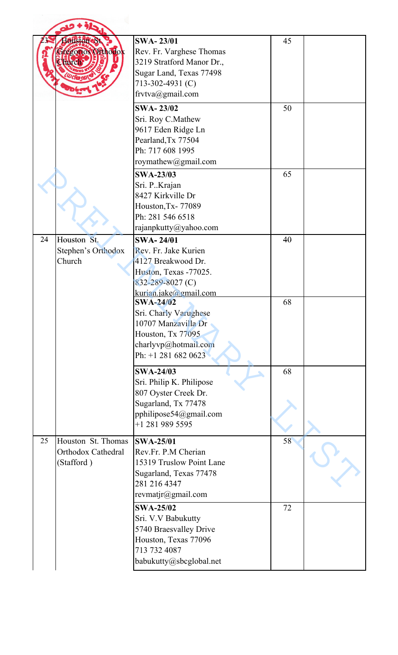|    | <b>Houston oSt.</b><br>regorios Orthodok<br>Furch      | <b>SWA-23/01</b><br>Rev. Fr. Varghese Thomas<br>3219 Stratford Manor Dr.,<br>Sugar Land, Texas 77498<br>713-302-4931 (C)<br>frvtva@gmail.com | 45 |  |
|----|--------------------------------------------------------|----------------------------------------------------------------------------------------------------------------------------------------------|----|--|
|    |                                                        | <b>SWA-23/02</b><br>Sri. Roy C.Mathew<br>9617 Eden Ridge Ln<br>Pearland, Tx 77504<br>Ph: 717 608 1995<br>roymathew@gmail.com                 | 50 |  |
|    |                                                        | <b>SWA-23/03</b><br>Sri. P. Krajan<br>8427 Kirkville Dr<br>Houston, Tx-77089<br>Ph: 281 546 6518<br>rajanpkutty@yahoo.com                    | 65 |  |
| 24 | Houston St.<br>Stephen's Orthodox<br>Church            | <b>SWA-24/01</b><br>Rev. Fr. Jake Kurien<br>4127 Breakwood Dr.<br>Huston, Texas -77025.<br>832-289-8027 (C)<br>kurian.jake@gmail.com         | 40 |  |
|    |                                                        | <b>SWA-24/02</b><br>Sri. Charly Varughese<br>10707 Manzavilla Dr<br>Houston, Tx 77095<br>charlyvp@hotmail.com<br>Ph: +1 281 682 0623         | 68 |  |
|    |                                                        | <b>SWA-24/03</b><br>Sri. Philip K. Philipose<br>807 Oyster Creek Dr.<br>Sugarland, Tx 77478<br>pphilipose54@gmail.com<br>$+1$ 281 989 5595   | 68 |  |
| 25 | Houston St. Thomas<br>Orthodox Cathedral<br>(Stafford) | <b>SWA-25/01</b><br>Rev.Fr. P.M Cherian<br>15319 Truslow Point Lane<br>Sugarland, Texas 77478<br>281 216 4347<br>revmatjr@gmail.com          | 58 |  |
|    |                                                        | <b>SWA-25/02</b><br>Sri. V.V Babukutty<br>5740 Braesvalley Drive<br>Houston, Texas 77096<br>713 732 4087<br>babukutty@sbcglobal.net          | 72 |  |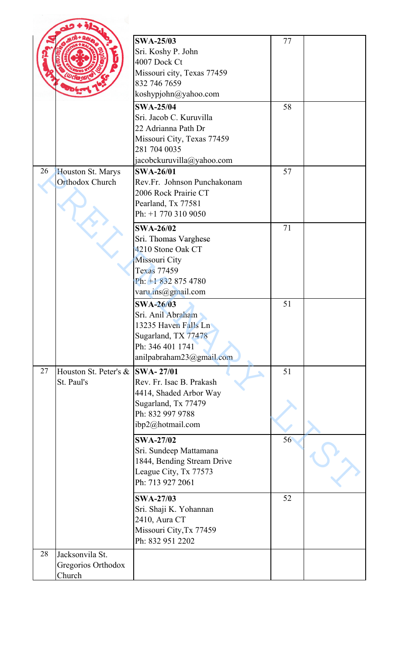|    |                                                 | <b>SWA-25/03</b><br>Sri. Koshy P. John<br>4007 Dock Ct                                                                                     | 77 |  |
|----|-------------------------------------------------|--------------------------------------------------------------------------------------------------------------------------------------------|----|--|
|    |                                                 | Missouri city, Texas 77459<br>832 746 7659<br>koshypjohn@yahoo.com                                                                         |    |  |
|    |                                                 | <b>SWA-25/04</b>                                                                                                                           | 58 |  |
|    |                                                 | Sri. Jacob C. Kuruvilla<br>22 Adrianna Path Dr<br>Missouri City, Texas 77459<br>281 704 0035<br>jacobckuruvilla@yahoo.com                  |    |  |
| 26 | Houston St. Marys<br>Orthodox Church            | <b>SWA-26/01</b><br>Rev.Fr. Johnson Punchakonam<br>2006 Rock Prairie CT<br>Pearland, Tx 77581<br>Ph: +1 770 310 9050                       | 57 |  |
|    |                                                 | <b>SWA-26/02</b><br>Sri. Thomas Varghese<br>4210 Stone Oak CT<br>Missouri City<br>Texas 77459<br>Ph: +1 832 875 4780<br>varu.ins@gmail.com | 71 |  |
|    |                                                 | <b>SWA-26/03</b><br>Sri. Anil Abraham<br>13235 Haven Falls Ln<br>Sugarland, TX 77478<br>Ph: 346 401 1741<br>anilpabraham23@gmail.com       | 51 |  |
| 27 | Houston St. Peter's &<br>St. Paul's             | <b>SWA-27/01</b><br>Rev. Fr. Isac B. Prakash<br>4414, Shaded Arbor Way<br>Sugarland, Tx 77479<br>Ph: 832 997 9788<br>ibp2@hotmail.com      | 51 |  |
|    |                                                 | <b>SWA-27/02</b><br>Sri. Sundeep Mattamana<br>1844, Bending Stream Drive<br>League City, Tx 77573<br>Ph: 713 927 2061                      | 56 |  |
|    |                                                 | <b>SWA-27/03</b><br>Sri. Shaji K. Yohannan<br>2410, Aura CT<br>Missouri City, Tx 77459<br>Ph: 832 951 2202                                 | 52 |  |
| 28 | Jacksonvila St.<br>Gregorios Orthodox<br>Church |                                                                                                                                            |    |  |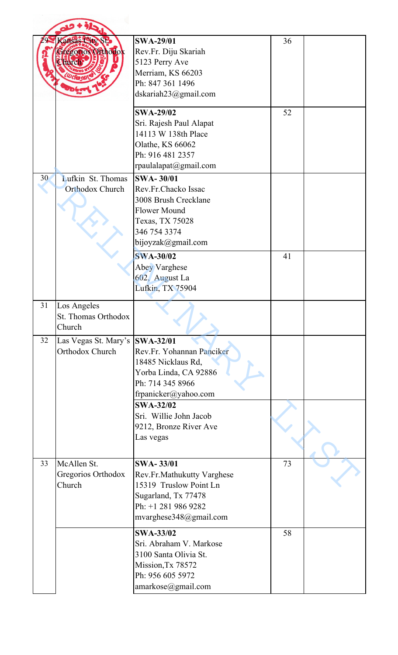|    | ansas Sity St.<br>regorios Orthodox<br><b>AVC</b> | <b>SWA-29/01</b><br>Rev.Fr. Diju Skariah<br>5123 Perry Ave<br>Merriam, KS 66203<br>Ph: 847 361 1496<br>dskariah23@gmail.com                      | 36 |  |
|----|---------------------------------------------------|--------------------------------------------------------------------------------------------------------------------------------------------------|----|--|
|    |                                                   | <b>SWA-29/02</b><br>Sri. Rajesh Paul Alapat<br>14113 W 138th Place<br>Olathe, KS 66062<br>Ph: 916 481 2357<br>rpaulalapat@gmail.com              | 52 |  |
| 30 | Lufkin St. Thomas<br><b>Orthodox Church</b>       | <b>SWA-30/01</b><br>Rev.Fr.Chacko Issac<br>3008 Brush Crecklane<br><b>Flower Mound</b><br>Texas, TX 75028<br>346 754 3374<br>bijoyzak@gmail.com  |    |  |
|    |                                                   | <b>SWA-30/02</b><br>Abey Varghese<br>602, August La<br>Lufkin, TX 75904                                                                          | 41 |  |
| 31 | Los Angeles<br>St. Thomas Orthodox<br>Church      |                                                                                                                                                  |    |  |
| 32 | Las Vegas St. Mary's<br>Orthodox Church           | <b>SWA-32/01</b><br>Rev.Fr. Yohannan Panciker<br>18485 Nicklaus Rd,<br>Yorba Linda, CA 92886<br>Ph: 714 345 8966<br>frpanicker@yahoo.com         |    |  |
|    |                                                   | <b>SWA-32/02</b><br>Sri. Willie John Jacob<br>9212, Bronze River Ave<br>Las vegas                                                                |    |  |
| 33 | McAllen St.<br>Gregorios Orthodox<br>Church       | <b>SWA-33/01</b><br>Rev.Fr.Mathukutty Varghese<br>15319 Truslow Point Ln<br>Sugarland, Tx 77478<br>Ph: +1 281 986 9282<br>mvarghese348@gmail.com | 73 |  |
|    |                                                   | <b>SWA-33/02</b><br>Sri. Abraham V. Markose<br>3100 Santa Olivia St.<br>Mission, Tx 78572<br>Ph: 956 605 5972<br>amarkose@gmail.com              | 58 |  |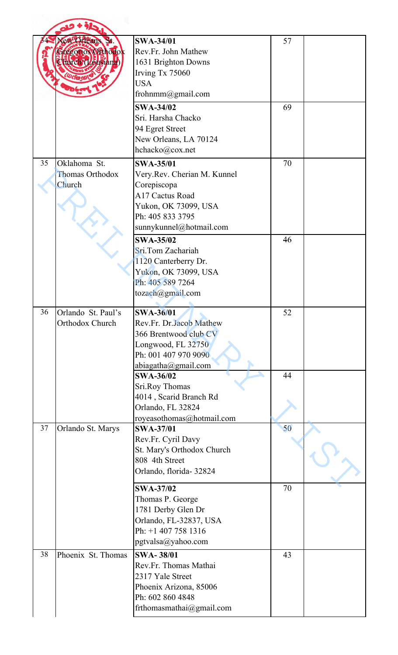|    | Yew Orleans St.<br>regorios Offhodox<br>Sturch (Lousiana)<br><b>D</b> cfm N | <b>SWA-34/01</b><br>Rev.Fr. John Mathew<br>1631 Brighton Downs<br>Irving Tx 75060<br><b>USA</b><br>frohnmm@gmail.com                                     | 57 |  |
|----|-----------------------------------------------------------------------------|----------------------------------------------------------------------------------------------------------------------------------------------------------|----|--|
|    |                                                                             | <b>SWA-34/02</b><br>Sri. Harsha Chacko<br>94 Egret Street<br>New Orleans, LA 70124<br>hchacko@cox.net                                                    | 69 |  |
| 35 | Oklahoma St.<br>Thomas Orthodox<br>Church                                   | <b>SWA-35/01</b><br>Very.Rev. Cherian M. Kunnel<br>Corepiscopa<br>A17 Cactus Road<br>Yukon, OK 73099, USA<br>Ph: 405 833 3795<br>sunnykunnel@hotmail.com | 70 |  |
|    |                                                                             | <b>SWA-35/02</b><br>Sri.Tom Zachariah<br>1120 Canterberry Dr.<br>Yukon, OK 73099, USA<br>Ph: 405 589 7264<br>tozach@gmail.com                            | 46 |  |
| 36 | Orlando St. Paul's<br>Orthodox Church                                       | <b>SWA-36/01</b><br>Rev.Fr. Dr.Jacob Mathew<br>366 Brentwood club CV<br>Longwood, FL 32750<br>Ph: 001 407 970 9090<br>abiagatha@gmail.com                | 52 |  |
|    |                                                                             | <b>SWA-36/02</b><br>Sri.Roy Thomas<br>4014, Scarid Branch Rd<br>Orlando, FL 32824<br>royeasothomas@hotmail.com                                           | 44 |  |
| 37 | Orlando St. Marys                                                           | <b>SWA-37/01</b><br>Rev.Fr. Cyril Davy<br>St. Mary's Orthodox Church<br>808 4th Street<br>Orlando, florida-32824                                         | 50 |  |
|    |                                                                             | <b>SWA-37/02</b><br>Thomas P. George<br>1781 Derby Glen Dr<br>Orlando, FL-32837, USA<br>Ph: +1 407 758 1316<br>pgtvalsa@yahoo.com                        | 70 |  |
| 38 | Phoenix St. Thomas                                                          | <b>SWA-38/01</b><br>Rev.Fr. Thomas Mathai<br>2317 Yale Street<br>Phoenix Arizona, 85006<br>Ph: 602 860 4848<br>frthomasmathai@gmail.com                  | 43 |  |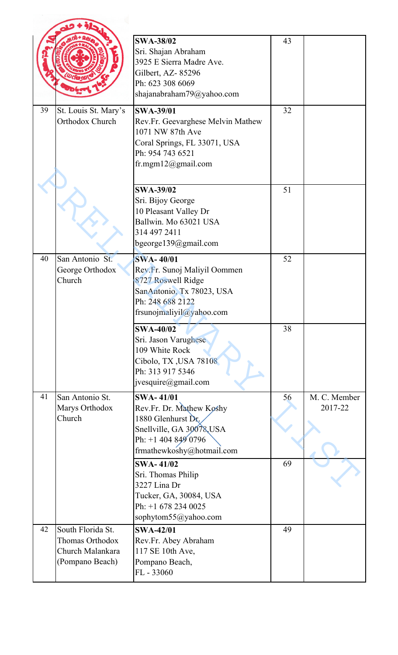|    |                                                                                    | <b>SWA-38/02</b><br>Sri. Shajan Abraham<br>3925 E Sierra Madre Ave.<br>Gilbert, AZ-85296<br>Ph: 623 308 6069<br>shajanabraham79@yahoo.com               | 43 |                         |
|----|------------------------------------------------------------------------------------|---------------------------------------------------------------------------------------------------------------------------------------------------------|----|-------------------------|
| 39 | St. Louis St. Mary's<br>Orthodox Church                                            | <b>SWA-39/01</b><br>Rev.Fr. Geevarghese Melvin Mathew<br>1071 NW 87th Ave<br>Coral Springs, FL 33071, USA<br>Ph: 954 743 6521<br>fr.mgm $12@g$ mail.com | 32 |                         |
|    |                                                                                    | <b>SWA-39/02</b><br>Sri. Bijoy George<br>10 Pleasant Valley Dr<br>Ballwin. Mo 63021 USA<br>314 497 2411<br>bgeorge139@gmail.com                         | 51 |                         |
| 40 | San Antonio St.<br>George Orthodox<br>Church                                       | <b>SWA-40/01</b><br>Rev.Fr. Sunoj Maliyil Oommen<br>8727 Roswell Ridge<br>SanAntonio, Tx 78023, USA<br>Ph: 248 688 2122<br>frsunojmaliyil@yahoo.com     | 52 |                         |
|    |                                                                                    | <b>SWA-40/02</b><br>Sri. Jason Varughese<br>109 White Rock<br>Cibolo, TX, USA 78108<br>Ph: 313 917 5346<br>jvesquire@gmail.com                          | 38 |                         |
| 41 | San Antonio St.<br>Marys Orthodox<br>Church                                        | <b>SWA-41/01</b><br>Rev.Fr. Dr. Mathew Koshy<br>1880 Glenhurst Dr.<br>Snellville, GA 30078, USA<br>Ph: $+14048490796$<br>frmathewkoshy@hotmail.com      | 56 | M. C. Member<br>2017-22 |
|    |                                                                                    | <b>SWA-41/02</b><br>Sri. Thomas Philip<br>3227 Lina Dr<br>Tucker, GA, 30084, USA<br>Ph: +1 678 234 0025<br>sophytom55@yahoo.com                         | 69 |                         |
| 42 | South Florida St.<br><b>Thomas Orthodox</b><br>Church Malankara<br>(Pompano Beach) | <b>SWA-42/01</b><br>Rev.Fr. Abey Abraham<br>117 SE 10th Ave,<br>Pompano Beach,<br>FL - 33060                                                            | 49 |                         |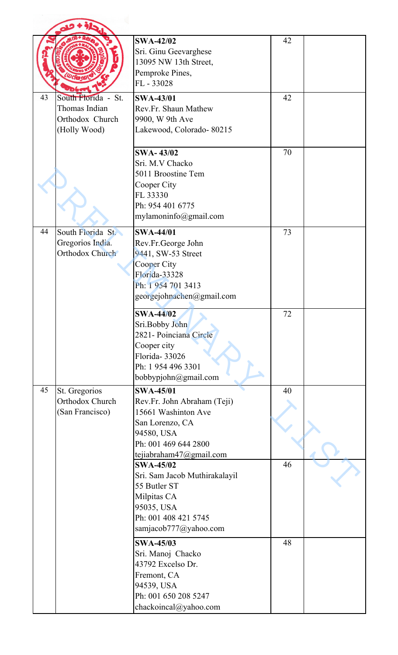|    |                                                                         | <b>SWA-42/02</b><br>Sri. Ginu Geevarghese<br>13095 NW 13th Street,<br>Pemproke Pines,<br>FL-33028                                                          | 42 |  |
|----|-------------------------------------------------------------------------|------------------------------------------------------------------------------------------------------------------------------------------------------------|----|--|
| 43 | South Florida - St.<br>Thomas Indian<br>Orthodox Church<br>(Holly Wood) | <b>SWA-43/01</b><br>Rev.Fr. Shaun Mathew<br>9900, W 9th Ave<br>Lakewood, Colorado-80215                                                                    | 42 |  |
|    |                                                                         | <b>SWA-43/02</b><br>Sri. M.V Chacko<br>5011 Broostine Tem<br>Cooper City<br>FL 33330<br>Ph: 954 401 6775<br>mylamoninfo@gmail.com                          | 70 |  |
| 44 | South Florida St.<br>Gregorios India.<br>Orthodox Church                | <b>SWA-44/01</b><br>Rev.Fr.George John<br>9441, SW-53 Street<br>Cooper City<br>Florida-33328<br>Ph: 1 954 701 3413<br>georgejohnachen@gmail.com            | 73 |  |
|    |                                                                         | <b>SWA-44/02</b><br>Sri.Bobby John<br>2821- Poinciana Circle<br>Cooper city<br>Florida-33026<br>Ph: 1 954 496 3301<br>bobbypjohn@gmail.com                 | 72 |  |
| 45 | St. Gregorios<br>Orthodox Church<br>(San Francisco)                     | <b>SWA-45/01</b><br>Rev.Fr. John Abraham (Teji)<br>15661 Washinton Ave<br>San Lorenzo, CA<br>94580, USA<br>Ph: 001 469 644 2800<br>tejiabraham47@gmail.com | 40 |  |
|    |                                                                         | <b>SWA-45/02</b><br>Sri. Sam Jacob Muthirakalayil<br>55 Butler ST<br>Milpitas CA<br>95035, USA<br>Ph: 001 408 421 5745<br>samjacob777@yahoo.com            | 46 |  |
|    |                                                                         | <b>SWA-45/03</b><br>Sri. Manoj Chacko<br>43792 Excelso Dr.<br>Fremont, CA<br>94539, USA<br>Ph: 001 650 208 5247<br>chackoincal@yahoo.com                   | 48 |  |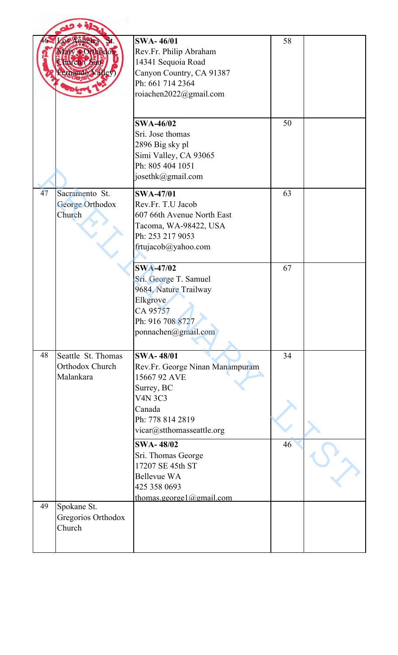|    | ary s Othedox<br><b>Furch Caste</b><br>emando Valley | <b>SWA-46/01</b><br>Rev.Fr. Philip Abraham<br>14341 Sequoia Road<br>Canyon Country, CA 91387<br>Ph: 661 714 2364<br>roiachen2022@gmail.com                     | 58 |  |
|----|------------------------------------------------------|----------------------------------------------------------------------------------------------------------------------------------------------------------------|----|--|
|    |                                                      | <b>SWA-46/02</b><br>Sri. Jose thomas<br>2896 Big sky pl<br>Simi Valley, CA 93065<br>Ph: 805 404 1051<br>josethk@gmail.com                                      | 50 |  |
| 47 | Sacramento St.<br>George Orthodox<br>Church          | <b>SWA-47/01</b><br>Rev.Fr. T.U Jacob<br>607 66th Avenue North East<br>Tacoma, WA-98422, USA<br>Ph: 253 217 9053<br>frtujacob@yahoo.com                        | 63 |  |
|    |                                                      | <b>SWA-47/02</b><br>Sri. George T. Samuel<br>9684, Nature Trailway<br>Elkgrove<br>CA 95757<br>Ph: 916 708 8727<br>ponnachen@gmail.com                          | 67 |  |
| 48 | Seattle St. Thomas<br>Orthodox Church<br>Malankara   | <b>SWA-48/01</b><br>Rev.Fr. George Ninan Manampuram<br>15667 92 AVE<br>Surrey, BC<br><b>V4N 3C3</b><br>Canada<br>Ph: 778 814 2819<br>vicar@stthomasseattle.org | 34 |  |
|    |                                                      | <b>SWA-48/02</b><br>Sri. Thomas George<br>17207 SE 45th ST<br><b>Bellevue WA</b><br>425 358 0693<br>thomas.george $1$ @gmail.com                               | 46 |  |
| 49 | Spokane St.<br>Gregorios Orthodox<br>Church          |                                                                                                                                                                |    |  |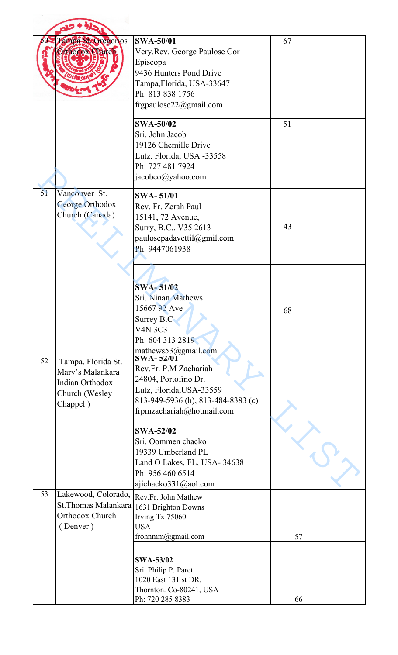|    | Tampa StoCregorios<br>thodox Clarch                                                            | <b>SWA-50/01</b><br>Very.Rev. George Paulose Cor<br>Episcopa<br>9436 Hunters Pond Drive<br>Tampa, Florida, USA-33647<br>Ph: 813 838 1756<br>frgpaulose22@gmail.com | 67 |  |
|----|------------------------------------------------------------------------------------------------|--------------------------------------------------------------------------------------------------------------------------------------------------------------------|----|--|
|    |                                                                                                | <b>SWA-50/02</b><br>Sri. John Jacob<br>19126 Chemille Drive<br>Lutz. Florida, USA -33558<br>Ph: 727 481 7924<br>jacobco@yahoo.com                                  | 51 |  |
| 51 | Vancouver St.<br><b>George Orthodox</b><br>Church (Canada)                                     | <b>SWA-51/01</b><br>Rev. Fr. Zerah Paul<br>15141, 72 Avenue,<br>Surry, B.C., V35 2613<br>paulosepadavettil@gmil.com<br>Ph: 9447061938                              | 43 |  |
|    |                                                                                                | <b>SWA-51/02</b><br>Sri. Ninan Mathews<br>15667 92 Ave<br>Surrey B.C.<br><b>V4N 3C3</b><br>Ph: 604 313 2819<br>mathews53@gmail.com                                 | 68 |  |
| 52 | Tampa, Florida St.<br>Mary's Malankara<br><b>Indian Orthodox</b><br>Church (Wesley<br>Chappel) | Rev.Fr. P.M Zachariah<br>24804, Portofino Dr.<br>Lutz, Florida, USA-33559<br>813-949-5936 (h), 813-484-8383 (c)<br>frpmzachariah@hotmail.com                       |    |  |
|    |                                                                                                | <b>SWA-52/02</b><br>Sri. Oommen chacko<br>19339 Umberland PL<br>Land O Lakes, FL, USA-34638<br>Ph: 956 460 6514<br>ajichacko331@aol.com                            |    |  |
| 53 | Lakewood, Colorado,<br>St. Thomas Malankara<br>Orthodox Church<br>(Denver)                     | Rev.Fr. John Mathew<br>1631 Brighton Downs<br>Irving Tx 75060<br><b>USA</b><br>frohnmm@gmail.com                                                                   | 57 |  |
|    |                                                                                                | <b>SWA-53/02</b><br>Sri. Philip P. Paret<br>1020 East 131 st DR.<br>Thornton. Co-80241, USA<br>Ph: 720 285 8383                                                    | 66 |  |